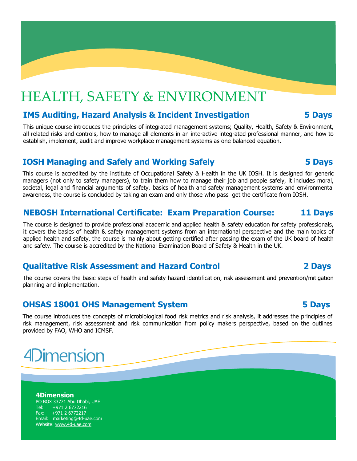## HEALTH, SAFETY & ENVIRONMENT

### **IMS Auditing, Hazard Analysis & Incident Investigation 5 Days**

This unique course introduces the principles of integrated management systems; Quality, Health, Safety & Environment, all related risks and controls, how to manage all elements in an interactive integrated professional manner, and how to establish, implement, audit and improve workplace management systems as one balanced equation.

### **IOSH Managing and Safely and Working Safely 5 Days**

This course is accredited by the institute of Occupational Safety & Health in the UK IOSH. It is designed for generic managers (not only to safety managers), to train them how to manage their job and people safely, it includes moral, societal, legal and financial arguments of safety, basics of health and safety management systems and environmental awareness, the course is concluded by taking an exam and only those who pass get the certificate from IOSH.

## **NEBOSH International Certificate: Exam Preparation Course: 11 Days**

The course is designed to provide professional academic and applied health & safety education for safety professionals, it covers the basics of health & safety management systems from an international perspective and the main topics of applied health and safety, the course is mainly about getting certified after passing the exam of the UK board of health and safety. The course is accredited by the National Examination Board of Safety & Health in the UK.

### **Qualitative Risk Assessment and Hazard Control 2 Days**

The course covers the basic steps of health and safety hazard identification, risk assessment and prevention/mitigation planning and implementation.

#### **OHSAS 18001 OHS Management System 5 Days**

The course introduces the concepts of microbiological food risk metrics and risk analysis, it addresses the principles of risk management, risk assessment and risk communication from policy makers perspective, based on the outlines provided by FAO, WHO and ICMSF.

# **4Dimension**

#### **4Dimension** PO BOX 33771 Abu Dhabi, UAE Tel: +971 2 6772216 Fax: +971 2 6772217 Email: [marketing@4d-uae.com](mailto:marketing@4d-uae.com) Website: [www.4d-uae.com](http://www.4d-uae.com)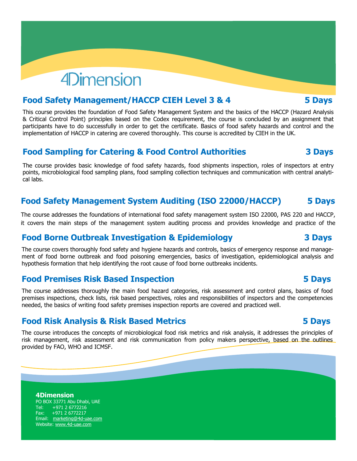# **4Dimension**

### **Food Safety Management/HACCP CIEH Level 3 & 4 5 Days**

This course provides the foundation of Food Safety Management System and the basics of the HACCP (Hazard Analysis & Critical Control Point) principles based on the Codex requirement, the course is concluded by an assignment that participants have to do successfully in order to get the certificate. Basics of food safety hazards and control and the implementation of HACCP in catering are covered thoroughly. This course is accredited by CIEH in the UK.

### **Food Sampling for Catering & Food Control Authorities 3 Days**

The course provides basic knowledge of food safety hazards, food shipments inspection, roles of inspectors at entry points, microbiological food sampling plans, food sampling collection techniques and communication with central analytical labs.

## **Food Safety Management System Auditing (ISO 22000/HACCP) 5 Days**

The course addresses the foundations of international food safety management system ISO 22000, PAS 220 and HACCP, it covers the main steps of the management system auditing process and provides knowledge and practice of the

## **Food Borne Outbreak Investigation & Epidemiology 3 Days**

The course covers thoroughly food safety and hygiene hazards and controls, basics of emergency response and management of food borne outbreak and food poisoning emergencies, basics of investigation, epidemiological analysis and hypothesis formation that help identifying the root cause of food borne outbreaks incidents.

### **Food Premises Risk Based Inspection 5 Days**

The course addresses thoroughly the main food hazard categories, risk assessment and control plans, basics of food premises inspections, check lists, risk based perspectives, roles and responsibilities of inspectors and the competencies needed, the basics of writing food safety premises inspection reports are covered and practiced well.

### **Food Risk Analysis & Risk Based Metrics 5 Days**

The course introduces the concepts of microbiological food risk metrics and risk analysis, it addresses the principles of risk management, risk assessment and risk communication from policy makers perspective, based on the outlines provided by FAO, WHO and ICMSF.

**4Dimension** PO BOX 33771 Abu Dhabi, UAE Tel: +971 2 6772216 Fax: +971 2 6772217 Email: [marketing@4d-uae.com](mailto:marketing@4d-uae.com) Website: [www.4d-uae.com](http://www.4d-uae.com)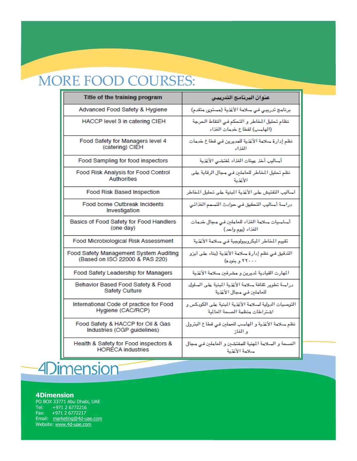# MORE FOOD COURSES:

| Title of the training program                  | عنوان البرنامج التدريبى                                                     |
|------------------------------------------------|-----------------------------------------------------------------------------|
| Advanced Food Safety & Hygiene                 | برئامج تَدريبي في سلامة الأغذية (مستَرى متقدم)                              |
| HACCP level 3 in catering CIEH                 | نظام تحليل المخاطر و التحكم في النقاط الحرجة<br>(الهاسب) لقطاع خرمان الغزاء |
| Food Safety for Managers level 4               | نظم إدارة سلامة الأغذية للمديرين فئ قطاع خدمات                              |
| (catering) CIEH                                | الغذاء                                                                      |
| Food Sampling for food inspectors              | أساليب أخذ عينان الغذاء لمفتشى الأغذية                                      |
| Food Risk Analysis for Food Control            | نظم تحليل المخاطر للعاملين في مجال الرقابة على                              |
| <b>Authorities</b>                             | الأغذية                                                                     |
| Food Risk Based Inspection                     | أساليب التفتيش على الأغذية المبنية على تحليل المخاطر                        |
| Food borne Outbreak Incidents<br>Investigation | دراسة أساليب التحقيق في حوادث التسمم الغذائي                                |
| Basics of Food Safety for Food Handlers        | أساسيان سلامة الغزاء للعاملين في مجال خرمان                                 |
| (one day)                                      | الغذاء (يوم واحد)                                                           |
| Food Microbiological Risk Assessment           | تقبيم المخاطر الميكروبيولوجية فى سلامة الأغذية                              |
| Food Safety Management System Auditing         | التَّدَّقِيقَ في نظم إدارةَ سلامةَ الأَعْذِيةَ (بِناء على ايرُو             |
| (Based on ISO 22000 & PAS 220)                 | ۲۲۰۰۰ و بنوره)                                                              |
| Food Safety Leadership for Managers            | المهارن القيادية لمديرين و مشرفين سلامة الأغذية                             |
| Behavior Based Food Safety & Food              | دراسة تطوير ثقافة سلامة الأغذية المبنية على السلول                          |
| <b>Safety Culture</b>                          | للعاملين في مجال الأغذية                                                    |
| International Code of practice for Food        | التوصيات الرواية لسلامة الأغذية المبنية على الكويكس و                       |
| Hygiene (CAC/RCP)                              | اشتراطان منظمة الصحة العالمية                                               |
| Food Safety & HACCP for Oil & Gas              | نظم سلامة الأغذية و الهاسب للعملين في قطاع البترول                          |
| Industries (OGP guidelines)                    | و الغاز                                                                     |
| Health & Safety for Food inspectors &          | الصحة و السلامة المهنية للمفتشين و العاملين في مجال                         |
| <b>HORECA</b> industries                       | سلامة الأغذية                                                               |

# **4Dimension**

#### **4Dimension**

PO BOX 33771 Abu Dhabi, UAE Tel: +971 2 6772216 Fax: +971 2 6772217 Email: [marketing@4d-uae.com](mailto:marketing@4d-uae.com) Website: [www.4d-uae.com](http://www.4d-uae.com)